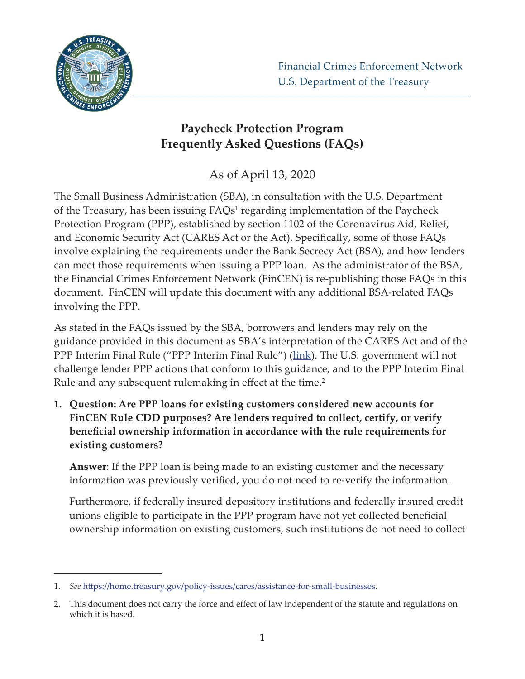

## **Paycheck Protection Program Frequently Asked Questions (FAQs)**

As of April 13, 2020

The Small Business Administration (SBA), in consultation with the U.S. Department of the Treasury, has been issuing FAQs<sup>1</sup> regarding implementation of the Paycheck Protection Program (PPP), established by section 1102 of the Coronavirus Aid, Relief, and Economic Security Act (CARES Act or the Act). Specifically, some of those FAQs involve explaining the requirements under the Bank Secrecy Act (BSA), and how lenders can meet those requirements when issuing a PPP loan. As the administrator of the BSA, the Financial Crimes Enforcement Network (FinCEN) is re-publishing those FAQs in this document. FinCEN will update this document with any additional BSA-related FAQs involving the PPP.

As stated in the FAQs issued by the SBA, borrowers and lenders may rely on the guidance provided in this document as SBA's interpretation of the CARES Act and of the PPP Interim Final Rule ("PPP Interim Final Rule") ([link](https://www.sba.gov/document/policy-guidance--ppp-interim-final-rule)). The U.S. government will not challenge lender PPP actions that conform to this guidance, and to the PPP Interim Final Rule and any subsequent rulemaking in effect at the time.<sup>2</sup>

**1. Question: Are PPP loans for existing customers considered new accounts for FinCEN Rule CDD purposes? Are lenders required to collect, certify, or verify beneficial ownership information in accordance with the rule requirements for existing customers?** 

**Answer**: If the PPP loan is being made to an existing customer and the necessary information was previously verified, you do not need to re-verify the information.

Furthermore, if federally insured depository institutions and federally insured credit unions eligible to participate in the PPP program have not yet collected beneficial ownership information on existing customers, such institutions do not need to collect

<sup>1.</sup> *See* https://home.treasury.gov/policy-issues/cares/assistance-for-small-businesses.

<sup>2.</sup> This document does not carry the force and effect of law independent of the statute and regulations on which it is based.